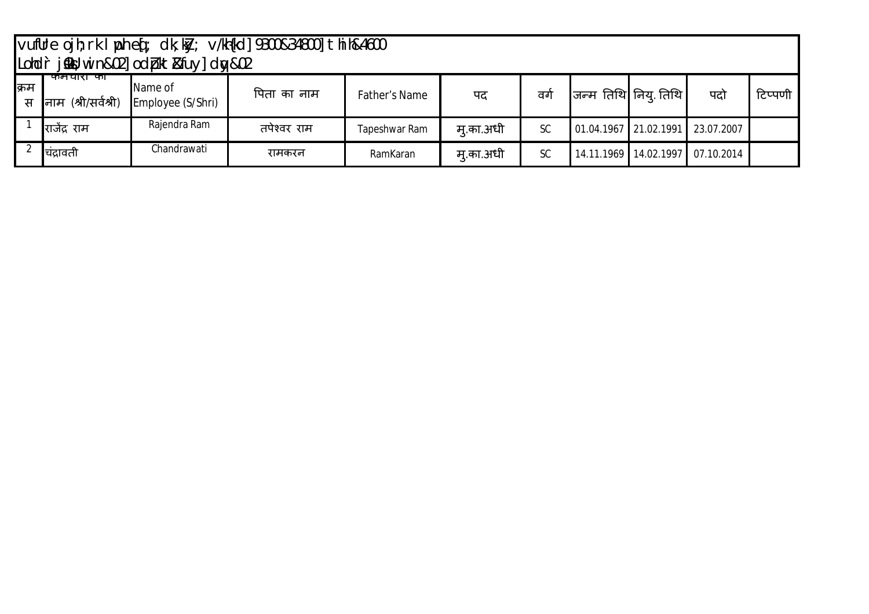|            | $\vert$ vufUre ojh; rk l $\vert$ ph e $\vert$ ; dk; k $\vert$ y; v/kh $\vert$ kd] 9300&34800] thih&4600<br>Londr jsky; win&02 odbkt&fuy dw&02 |                              |             |                      |           |           |                                  |  |                                      |         |  |  |
|------------|-----------------------------------------------------------------------------------------------------------------------------------------------|------------------------------|-------------|----------------------|-----------|-----------|----------------------------------|--|--------------------------------------|---------|--|--|
|            |                                                                                                                                               |                              |             |                      |           |           |                                  |  |                                      |         |  |  |
| क्रिम<br>स | कमयारा का<br>(श्री/सर्वश्री)<br>नाम                                                                                                           | Name of<br>Employee (S/Shri) | पिता का नाम | <b>Father's Name</b> | पद        | वर्ग      | जन्म तिथि नियु तिथि              |  | पदो                                  | टिप्पणी |  |  |
|            | राजेंद्र राम                                                                                                                                  | Rajendra Ram                 | तपेश्वर राम | Tapeshwar Ram        | म् का अधी | <b>SC</b> | 01.04.1967 21.02.1991 23.07.2007 |  |                                      |         |  |  |
|            | चिद्रावती                                                                                                                                     | Chandrawati                  | रामकरन      | RamKaran             | म् का अधी | <b>SC</b> |                                  |  | 14.11.1969   14.02.1997   07.10.2014 |         |  |  |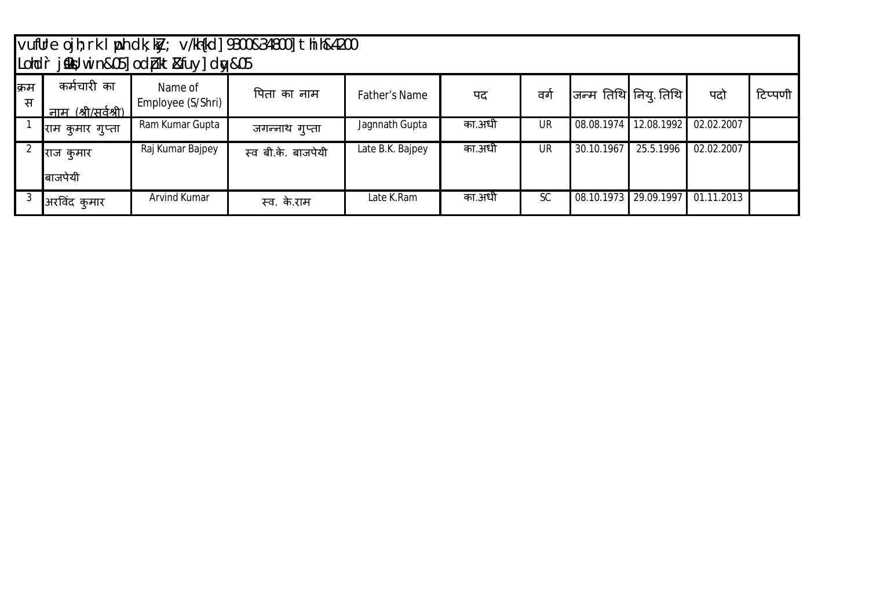|            |                                    | Lohdr j&W win&05] odbkt&fuy] dw&05 | vufUre ojh; rk I ph dk; ky; v/kh{kd] 9300&34800] thih&4200 |                  |        |           |            |                       |            |         |
|------------|------------------------------------|------------------------------------|------------------------------------------------------------|------------------|--------|-----------|------------|-----------------------|------------|---------|
| क्रिम<br>स | कर्मचारी का<br>नाम (श्री/सर्वश्री) | Name of<br>Employee (S/Shri)       | पिता का नाम                                                | Father's Name    | पद     | वगे       |            | जन्म तिथि निय् तिथि   | पदो        | टिप्पणी |
|            | राम कुमार गुप्ता                   | Ram Kumar Gupta                    | जगन्नाथ गुप्ता                                             | Jagnnath Gupta   | का.अधी | <b>UR</b> | 08.08.1974 | 12.08.1992            | 02.02.2007 |         |
|            | राज कुमार<br>बाजपेयी               | Raj Kumar Bajpey                   | स्व बी.के. बाजपेयी                                         | Late B.K. Bajpey | का.अधी | UR.       | 30.10.1967 | 25.5.1996             | 02.02.2007 |         |
|            | अरविंद कुमार                       | Arvind Kumar                       | स्व. के.राम                                                | Late K.Ram       | का.अधी | <b>SC</b> |            | 08.10.1973 29.09.1997 | 01.11.2013 |         |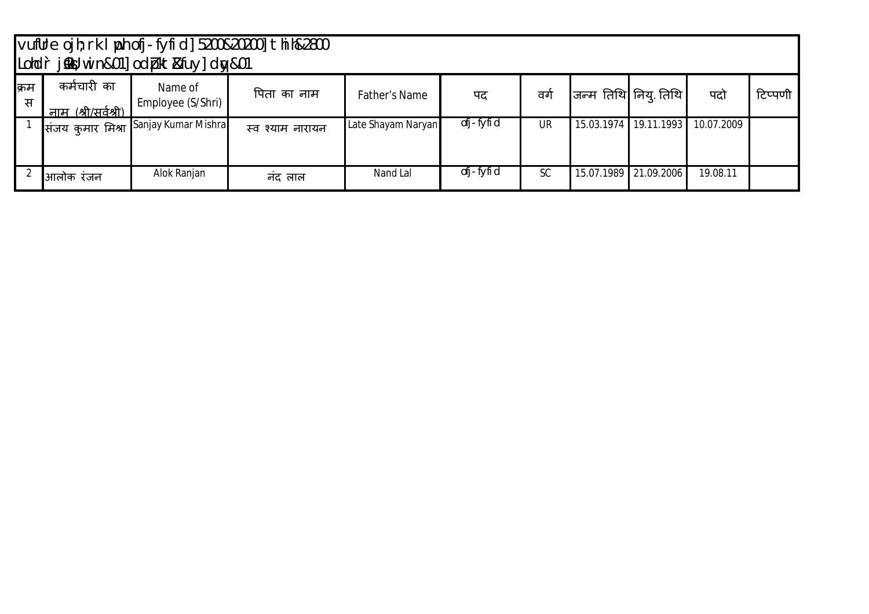|            |                                    |                                       |                  |                    |           |     |                       |                       |            | vufUre ojh; rk I poh ofj fyfid] 5200&20200] thih&2800<br>Lohdr j&W win&01] odbkt&fuy] dw&01 |  |  |  |  |  |  |  |  |  |  |
|------------|------------------------------------|---------------------------------------|------------------|--------------------|-----------|-----|-----------------------|-----------------------|------------|---------------------------------------------------------------------------------------------|--|--|--|--|--|--|--|--|--|--|
| क्रिम<br>स | कर्मचारी का<br>नाम (श्री/सर्वश्री) | Name of<br>Employee (S/Shri)          | पिता का नाम      | Father's Name      | पद        | ਕਗੇ | जन्म तिथि निय् तिथि । |                       | पदो        | टिप्पणी                                                                                     |  |  |  |  |  |  |  |  |  |  |
|            |                                    | संजय कुमार मिश्रा Sanjay Kumar Mishra | स्व श्याम नारायन | Late Shayam Naryan | ofj-fyfid | UR  |                       | 15.03.1974 19.11.1993 | 10.07.2009 |                                                                                             |  |  |  |  |  |  |  |  |  |  |
|            | आलोक रजन                           | Alok Ranjan                           | नद लाल           | Nand Lal           | ofj-fyfid | SC  |                       | 15.07.1989 21.09.2006 | 19.08.11   |                                                                                             |  |  |  |  |  |  |  |  |  |  |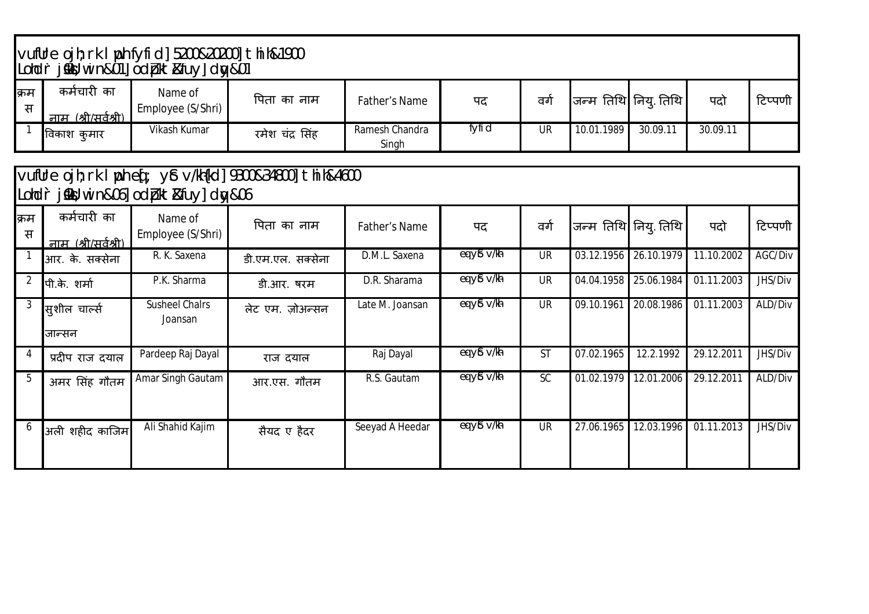|                         |                                           | vufUre ojh; rk   ph fyfid] 5200&20200] thih&1900<br> Lohd`r j‱; win&01] odpkt&fuy] dw&01 |                                                           |                         |            |           |            |                         |            |         |
|-------------------------|-------------------------------------------|------------------------------------------------------------------------------------------|-----------------------------------------------------------|-------------------------|------------|-----------|------------|-------------------------|------------|---------|
| क्रम<br>स               | कर्मचारी का<br><u>नाम (श्री/सर्वश्री)</u> | Name of<br>Employee (S/Shri)                                                             | पिता का नाम                                               | <b>Father's Name</b>    | पद         | वर्ग      |            | जन्म तिथि नियु तिथि     | पदो        | टिप्पणी |
| $\overline{1}$          | विकाश कुमार                               | Vikash Kumar                                                                             | रमेश चंद्र सिंह                                           | Ramesh Chandra<br>Singh | fyfi d     | <b>UR</b> | 10.01.1989 | 30.09.11                | 30.09.11   |         |
| Lohdr                   |                                           | j‱;win&06]odbkt&fuy]dw&06                                                                | vufUre ojh; rk   ph eq: y& v/kh{kd] 9300&34800] thih&4600 |                         |            |           |            |                         |            |         |
| क्रम<br>स               | कर्मचारी का<br>नाम (श्री/सर्वश्री)        | Name of<br>Employee (S/Shri)                                                             | पिता का नाम                                               | <b>Father's Name</b>    | पद         | वर्ग      |            | जन्म तिथि निय् तिथि     | पदो        | टिप्पणी |
| $\overline{\mathbf{1}}$ | आर. के. सक्सेना                           | R. K. Saxena                                                                             | डी.एम.एल. सक्सेना                                         | D.M.L. Saxena           | eq y& v/kh | <b>UR</b> | 03.12.1956 | 26.10.1979              | 11.10.2002 | AGC/Div |
| $\overline{2}$          | पी.के. शर्मा                              | P.K. Sharma                                                                              | डी.आर. षरम                                                | D.R. Sharama            | eq y& v/kh | <b>UR</b> | 04.04.1958 | 25.06.1984              | 01.11.2003 | JHS/Div |
| $\mathbf{3}$            | सुशील चार्ल्स<br>जान्सन                   | <b>Susheel Chalrs</b><br>Joansan                                                         | लेट एम. ज़ोअन्सन                                          | Late M. Joansan         | eq yi v/kh | <b>UR</b> | 09.10.1961 | 20.08.1986              | 01.11.2003 | ALD/Div |
| $\overline{4}$          | प्रदीप राज दयाल                           | Pardeep Raj Dayal                                                                        | राज दयाल                                                  | Raj Dayal               | eq y& v/kh | <b>ST</b> | 07.02.1965 | 12.2.1992               | 29.12.2011 | JHS/Div |
| 5                       | अमर सिंह गौतम                             | Amar Singh Gautam                                                                        | आर.एस. गौतम                                               | R.S. Gautam             | eq y& v/kh | SC        | 01.02.1979 | $\overline{12.01.2006}$ | 29.12.2011 | ALD/Div |
| 6                       | अली शहीद काजिम                            | Ali Shahid Kajim                                                                         | सैयद ए हैदर                                               | Seeyad A Heedar         | eq yi v/kh | <b>UR</b> | 27.06.1965 | 12.03.1996              | 01.11.2013 | JHS/Div |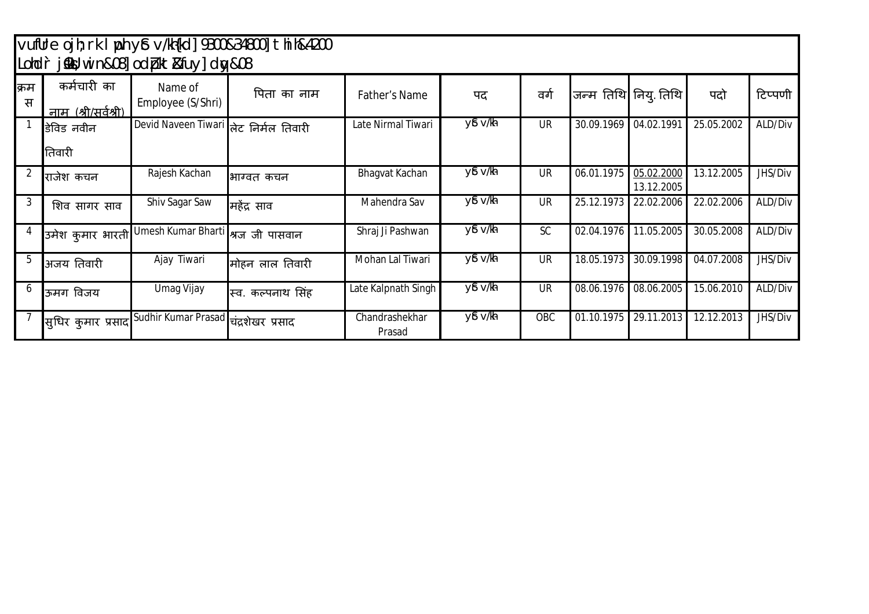## vufUre ojh;rk I ph y£ v/kh{kd] 9300&34800] thih&4200 Lohd`r j‱l;win&08] od (pkt&fuy] dw&08

|           |                                           | $\mathsf{L}$                          |                   |                          |                       |           |                       |                          |                          |         |
|-----------|-------------------------------------------|---------------------------------------|-------------------|--------------------------|-----------------------|-----------|-----------------------|--------------------------|--------------------------|---------|
| क्रम<br>स | कर्मचारी का<br><u>नाम (श्री/सर्वश्री)</u> | Name of<br>Employee (S/Shri)          | पिता का नाम       | <b>Father's Name</b>     | पद                    | वर्ग      |                       | जन्म तिथि निय् तिथि      | पदो                      | टिप्पणी |
|           | डेविड नवीन<br>तिवारी                      | Devid Naveen Tiwari तेट निर्मल तिवारी |                   | Late Nirmal Tiwari       | $y\$ $v/\hbar$        | <b>UR</b> | 30.09.1969 04.02.1991 |                          | 25.05.2002               | ALD/Div |
|           | राजेश कचन                                 | Rajesh Kachan                         | भाग्वत कचन        | Bhagvat Kachan           | $y\$ $v/\hbar$        | <b>UR</b> | 06.01.1975            | 05.02.2000<br>13.12.2005 | 13.12.2005               | JHS/Div |
| 3         | शिव सागर साव                              | Shiv Sagar Saw                        | महेंद्र साव       | Mahendra Sav             | yê v/kh               | <b>UR</b> | 25.12.1973            | 22.02.2006               | 22.02.2006               | ALD/Div |
|           | उमेश कुमार भारती                          | Umesh Kumar Bharti  श्रज जी पासवान    |                   | Shraj Ji Pashwan         | yê v/kh               | <b>SC</b> |                       | 02.04.1976 11.05.2005    | 30.05.2008               | ALD/Div |
| 5         | अजय तिवारी                                | Ajay Tiwari                           | मोहन लाल तिवारी   | Mohan Lal Tiwari         | yê v/h                | <b>UR</b> | 18.05.1973            | 30.09.1998               | $\overline{04.07}$ .2008 | JHS/Div |
| b         | ऊमग विजय                                  | Umag Vijay                            | स्व. कल्पनाथ सिंह | Late Kalpnath Singh      | yê v/kh               | <b>UR</b> | 08.06.1976            | 08.06.2005               | 15.06.2010               | ALD/Div |
|           | सुधिर कुमार प्रसाद                        | Sudhir Kumar Prasad                   | चंद्रशेखर प्रसाद  | Chandrashekhar<br>Prasad | $y\$ v/ $\frac{1}{2}$ | OBC       | 01.10.1975            | 29.11.2013               | 12.12.2013               | JHS/Div |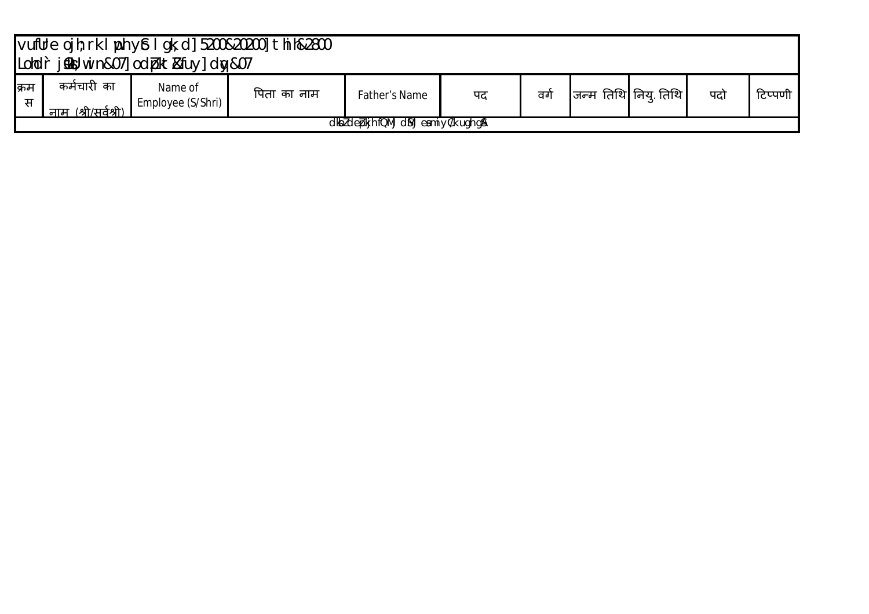|            | vufUre ojh; rk I ph y£ I gk; d] 5200&20200] thih&2800<br>Londr jskt; win&07]odbkt&fuy]dw&07 |                              |             |               |    |    |  |                       |     |         |  |  |
|------------|---------------------------------------------------------------------------------------------|------------------------------|-------------|---------------|----|----|--|-----------------------|-----|---------|--|--|
| क्रिम<br>स | कर्मचारी का<br>नाम (श्री/सर्वश्री)                                                          | Name of<br>Employee (S/Shri) | पिता का नाम | Father's Name | पद | ਕਾ |  | जन्म तिथि नियू तिथि । | पदो | टिप्पणी |  |  |
|            | dkbldebkjhfQMjdMjeamiyC/k ugh gA                                                            |                              |             |               |    |    |  |                       |     |         |  |  |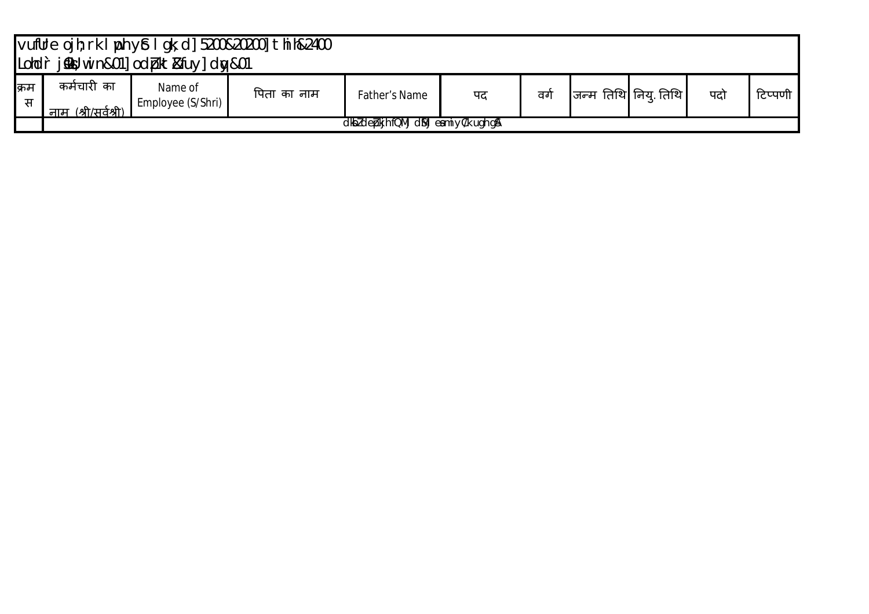|           | vufUre ojh; rk I ph y£ I gk; d] 5200&20200] thih&2400<br>Londr jskt; win&01]odbkt&fuy]dw&01 |                              |             |                      |    |     |                       |  |     |         |  |  |
|-----------|---------------------------------------------------------------------------------------------|------------------------------|-------------|----------------------|----|-----|-----------------------|--|-----|---------|--|--|
| क्रम<br>स | कर्मचारी का<br>नाम (श्री/सर्वश्री)                                                          | Name of<br>Employee (S/Shri) | पिता का नाम | <b>Father's Name</b> | पद | ਰਹੀ | जन्म तिथि नियु तिथि । |  | पदो | टिप्पणी |  |  |
|           | dkbldebkjhfQMjdMjeamiyC/k ugh g&                                                            |                              |             |                      |    |     |                       |  |     |         |  |  |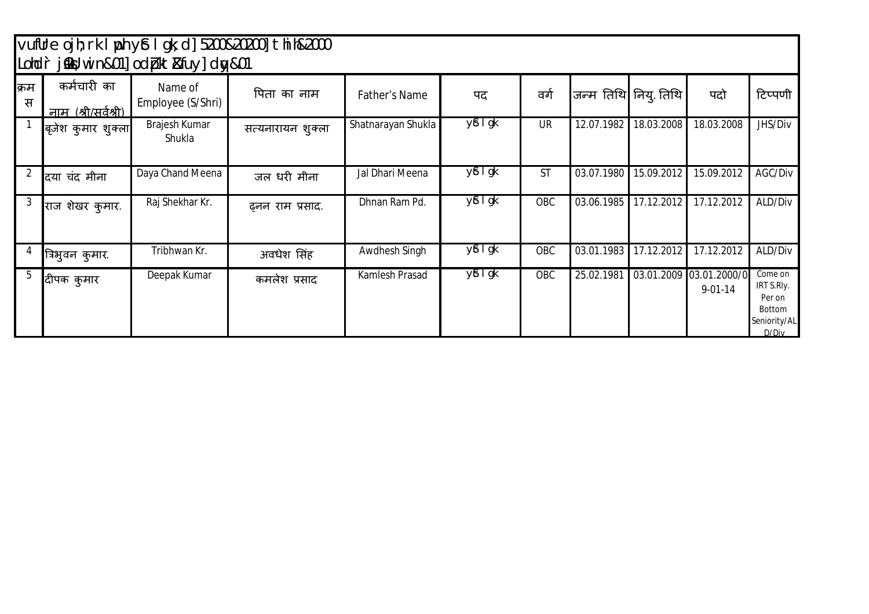## vufUre ojh;rk lph y£ lgk;d] 5200&20200] thih&2000 Lohd`r j‱l;win&01] od pkt&fuy] dw&01

|           |                                           | LUINI JANU, III HOLU JUULUN LOKUU YJUULUN OLU |                   |                      |                       |           |                     |            |                                          |                                                                    |
|-----------|-------------------------------------------|-----------------------------------------------|-------------------|----------------------|-----------------------|-----------|---------------------|------------|------------------------------------------|--------------------------------------------------------------------|
| क्रम<br>स | कर्मचारी का<br><u>नाम (श्री/सर्वश्री)</u> | Name of<br>Employee (S/Shri)                  | पिता का नाम       | <b>Father's Name</b> | पद                    | वर्ग      | जन्म तिथि नियु तिथि |            | पदो                                      | टिप्पणी                                                            |
|           | बृजेश कुमार शुक्ला                        | Brajesh Kumar<br>Shukla                       | सत्यनारायन शुक्ला | Shatnarayan Shukla   | $y$ $t$ $\frac{1}{g}$ | <b>UR</b> | 12.07.1982          | 18.03.2008 | 18.03.2008                               | JHS/Div                                                            |
| 2         | दिया चंद मीना                             | Daya Chand Meena                              | जल धरी मीना       | Jal Dhari Meena      | $y$ $t$ $\frac{1}{g}$ | <b>ST</b> | 03.07.1980          | 15.09.2012 | 15.09.2012                               | AGC/Div                                                            |
| 3         | राज शेखर कुमार.                           | Raj Shekhar Kr.                               | ढ़नन राम प्रसाद.  | Dhnan Ram Pd.        | y£ I gk               | OBC       | 03.06.1985          | 17.12.2012 | 17.12.2012                               | ALD/Div                                                            |
|           | त्रिभुवन कुमार.                           | Tribhwan Kr.                                  | अवधेश सिंह        | Awdhesh Singh        | y <sup>£</sup> I gk   | OBC       | 03.01.1983          | 17.12.2012 | 17.12.2012                               | ALD/Div                                                            |
| b         | दीपक कुमार                                | Deepak Kumar                                  | कमलेश प्रसाद      | Kamlesh Prasad       | y£ I gk               | OBC       | 25.02.1981          |            | 03.01.2009 03.01.2000/0<br>$9 - 01 - 14$ | Come on<br>IRT S.Rly.<br>Per on<br>Bottom<br>Seniority/AL<br>D/Div |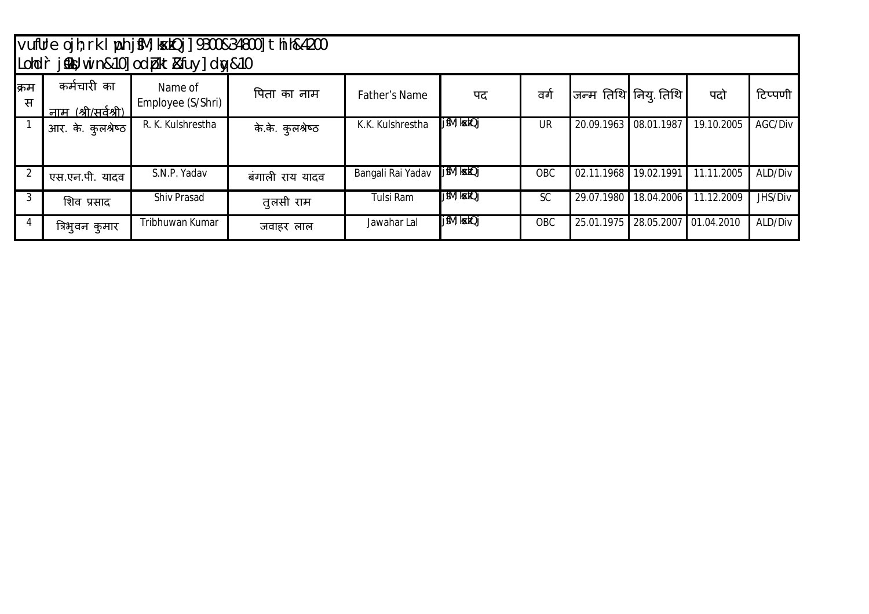|            |                                    | Lohdr j‱;win&10]odpkt&fuy]dy&10 | vufUre ojh; rk I yoh jfM; kxkQj] 9300&34800] thih&4200 |                      |              |           |            |                                 |            |         |
|------------|------------------------------------|---------------------------------|--------------------------------------------------------|----------------------|--------------|-----------|------------|---------------------------------|------------|---------|
| क्रिम<br>स | कर्मचारी का<br>नाम (श्री/सर्वश्री) | Name of<br>Employee (S/Shri)    | पिता का नाम                                            | <b>Father's Name</b> | पद           | वगे       |            | $ $ जन्म तिथि $ $ निय् तिथि $ $ | पदो        | टिप्पणी |
|            | आर. के. कुलश्रेष्ठ                 | R. K. Kulshrestha               | के.के. कुलश्रेष्ठ                                      | K.K. Kulshrestha     | j fM; kxkQj  | <b>UR</b> | 20.09.1963 | 08.01.1987                      | 19.10.2005 | AGC/Div |
|            | एस.एन.पी. यादव                     | S.N.P. Yadav                    | बंगाली राय यादव                                        | Bangali Rai Yadav    | j fM; ksckQj | OBC       | 02.11.1968 | 19.02.1991                      | 11.11.2005 | ALD/Div |
| 3          | शिव प्रसाद                         | <b>Shiv Prasad</b>              | तुलसी राम                                              | Tulsi Ram            | jfM; kxkQj   | <b>SC</b> | 29.07.1980 | 18.04.2006                      | 11.12.2009 | JHS/Div |
| 4          | त्रिभुवन कुमार                     | Tribhuwan Kumar                 | जवाहर लाल                                              | Jawahar Lal          | jfM; kxkQj   | OBC       | 25.01.1975 | 28.05.2007 01.04.2010           |            | ALD/Div |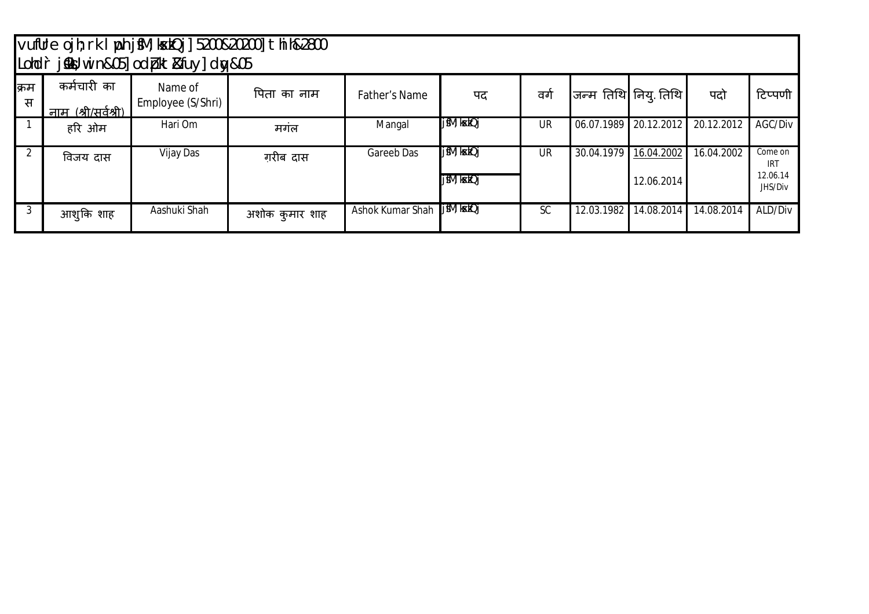|            |                                           | Londr jsks; win&05] odbkt&fuy] dw&05 | vufUre ojh; rk I ph jfM; kxkQj] 5200&20200] thih&2800 |                      |                           |           |                       |                          |            |                                              |
|------------|-------------------------------------------|--------------------------------------|-------------------------------------------------------|----------------------|---------------------------|-----------|-----------------------|--------------------------|------------|----------------------------------------------|
| क्रिम<br>स | कर्मचारी का<br><u>नाम (श्री/सर्वश्री)</u> | Name of<br>Employee (S/Shri)         | पिता का नाम                                           | <b>Father's Name</b> | पद                        | वगे       | जन्म तिथि निय् तिथि । |                          | पदो        | टिप्पणी                                      |
|            | हरि ओम                                    | Hari Om                              | मगंल                                                  | Mangal               | j fM; kxkQj               | <b>UR</b> | 06.07.1989            | 20.12.2012               | 20.12.2012 | AGC/Div                                      |
| 2          | विजय दास                                  | Vijay Das                            | गरीब दास                                              | Gareeb Das           | jfM; kxkQj<br>j fM; kxkQj | <b>UR</b> | 30.04.1979            | 16.04.2002<br>12.06.2014 | 16.04.2002 | Come on<br><b>IRT</b><br>12.06.14<br>JHS/Div |
| 3          | आशुकि शाह                                 | Aashuki Shah                         | अशोक कुमार शाह                                        | Ashok Kumar Shah     | j fM; kxkQj               | <b>SC</b> | 12.03.1982            | 14.08.2014               | 14.08.2014 | ALD/Div                                      |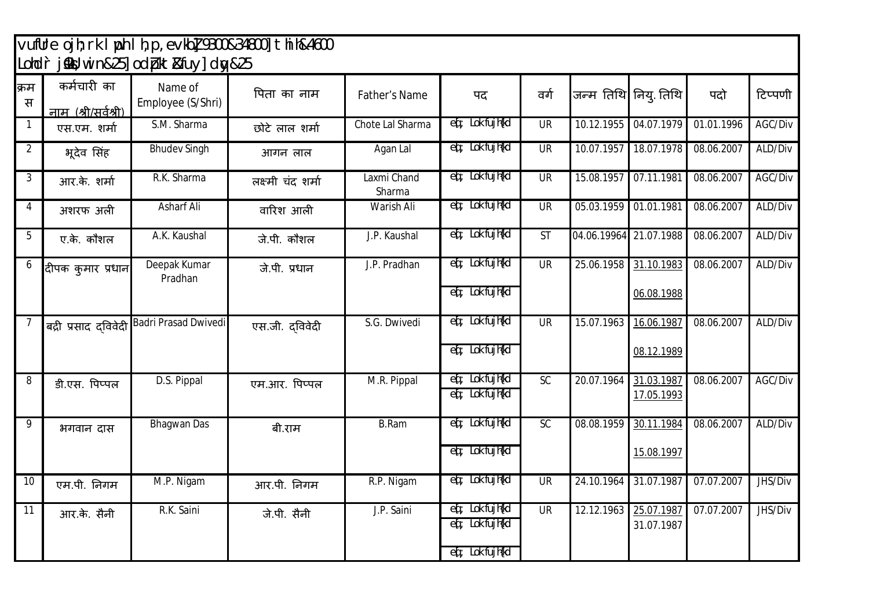## vufUre ojh; rk lyph lh, p, evkb] 9300&34800] thih&4600 Lohd`r j‱l;win&25] od (pkt&fuy] dw&25

| कर्मचारी का          | Name of<br>Employee (S/Shri) | पिता का नाम       | Father's Name                                                                                                                                                                                                                                                                                                       | पद                                                          | वर्ग                                                                                         |                          |            | पदो                                                                                                | टिप्पणी    |
|----------------------|------------------------------|-------------------|---------------------------------------------------------------------------------------------------------------------------------------------------------------------------------------------------------------------------------------------------------------------------------------------------------------------|-------------------------------------------------------------|----------------------------------------------------------------------------------------------|--------------------------|------------|----------------------------------------------------------------------------------------------------|------------|
| एस.एम. शर्मा         | S.M. Sharma                  | छोटे लाल शर्मा    | Chote Lal Sharma                                                                                                                                                                                                                                                                                                    | $\overline{eq}$ ; Lok fujh $\overline{kd}$                  | <b>UR</b>                                                                                    | 10.12.1955               | 04.07.1979 | 01.01.1996                                                                                         | AGC/Div    |
| भूदेव सिंह           | <b>Bhudev Singh</b>          | आगन लाल           | Agan Lal                                                                                                                                                                                                                                                                                                            | ed ; Lok fujh{kd                                            | <b>UR</b>                                                                                    | 10.07.1957               | 18.07.1978 | 08.06.2007                                                                                         | ALD/Div    |
| आर.के. शर्मा         | R.K. Sharma                  | लक्ष्मी चंद शर्मा | Laxmi Chand<br>Sharma                                                                                                                                                                                                                                                                                               |                                                             | <b>UR</b>                                                                                    | 15.08.1957               | 07.11.1981 | 08.06.2007                                                                                         | AGC/Div    |
| अशरफ अली             |                              | वारिश आली         |                                                                                                                                                                                                                                                                                                                     |                                                             |                                                                                              |                          |            |                                                                                                    | ALD/Div    |
| ए.के. कौशल           | A.K. Kaushal                 | जे.पी. कौशल       | J.P. Kaushal                                                                                                                                                                                                                                                                                                        | ed ; Lok fujh{kd                                            | $\overline{\mathsf{ST}}$                                                                     |                          |            | 08.06.2007                                                                                         | ALD/Div    |
| दीपक कुमार प्रधान    | Deepak Kumar<br>Pradhan      | जे.पी. प्रधान     | J.P. Pradhan                                                                                                                                                                                                                                                                                                        |                                                             | <b>UR</b>                                                                                    | 25.06.1958               | 31.10.1983 | 08.06.2007                                                                                         | ALD/Div    |
|                      |                              |                   |                                                                                                                                                                                                                                                                                                                     |                                                             |                                                                                              |                          | 06.08.1988 |                                                                                                    |            |
| बद्री प्रसाद दविवेदी | <b>Badri Prasad Dwivedi</b>  | एस.जी. दविवेदी    | S.G. Dwivedi                                                                                                                                                                                                                                                                                                        | ed ; Lok fujh{kd                                            | <b>UR</b>                                                                                    | 15.07.1963               | 16.06.1987 | 08.06.2007                                                                                         | ALD/Div    |
|                      |                              |                   |                                                                                                                                                                                                                                                                                                                     | e(; Lok fujh{kd                                             |                                                                                              |                          | 08.12.1989 |                                                                                                    |            |
| डी.एस. पिप्पल        | D.S. Pippal                  | एम.आर. पिप्पल     | M.R. Pippal                                                                                                                                                                                                                                                                                                         | e([; Lok fujh{kd<br>eq; Lok fujh{kd                         | $\overline{SC}$                                                                              | 20.07.1964               | 31.03.1987 | 08.06.2007                                                                                         | AGC/Div    |
|                      |                              |                   |                                                                                                                                                                                                                                                                                                                     |                                                             |                                                                                              |                          |            |                                                                                                    |            |
| भगवान दास            | <b>Bhagwan Das</b>           | बी.राम            | <b>B.Ram</b>                                                                                                                                                                                                                                                                                                        | eq; Lok fujh{kd                                             | SC                                                                                           | 08.08.1959               | 30.11.1984 | 08.06.2007                                                                                         | ALD/Div    |
|                      |                              |                   |                                                                                                                                                                                                                                                                                                                     | eq; Lok fujh{kd                                             |                                                                                              |                          | 15.08.1997 |                                                                                                    |            |
| एम.पी. निगम          | M.P. Nigam                   | आर.पी. निगम       | R.P. Nigam                                                                                                                                                                                                                                                                                                          | et ; Lok fujh{kd                                            | $\overline{\mathsf{UR}}$                                                                     | 24.10.1964               | 31.07.1987 | 07.07.2007                                                                                         | JHS/Div    |
| आर.के. सैनी          | R.K. Saini                   | जे.पी. सैनी       | J.P. Saini                                                                                                                                                                                                                                                                                                          | ed ; Lok fujh{kd                                            | <b>UR</b>                                                                                    | 12.12.1963               | 25.07.1987 | 07.07.2007                                                                                         | JHS/Div    |
|                      |                              |                   |                                                                                                                                                                                                                                                                                                                     | $\operatorname{\sf eq}$ ; Lok fujh $\operatorname{\sf kld}$ |                                                                                              |                          |            |                                                                                                    |            |
|                      | नाम (श्री/सर्वश्री)          | <b>Asharf Ali</b> | $\frac{1}{2}$ $\frac{1}{2}$ $\frac{1}{2}$ $\frac{1}{2}$ $\frac{1}{2}$ $\frac{1}{2}$ $\frac{1}{2}$ $\frac{1}{2}$ $\frac{1}{2}$ $\frac{1}{2}$ $\frac{1}{2}$ $\frac{1}{2}$ $\frac{1}{2}$ $\frac{1}{2}$ $\frac{1}{2}$ $\frac{1}{2}$ $\frac{1}{2}$ $\frac{1}{2}$ $\frac{1}{2}$ $\frac{1}{2}$ $\frac{1}{2}$ $\frac{1}{2}$ | <b>Warish Ali</b>                                           | ed ; Lok fujh{kd<br>eq; Lok fujh{kd<br>ed; Lok fujh{kd<br>eq; Lok fujh{kd<br>e(; Lok fujh{kd | $\overline{\mathsf{UR}}$ |            | जन्म तिथि नियु तिथि<br>05.03.1959 01.01.1981<br>04.06.19964 21.07.1988<br>17.05.1993<br>31.07.1987 | 08.06.2007 |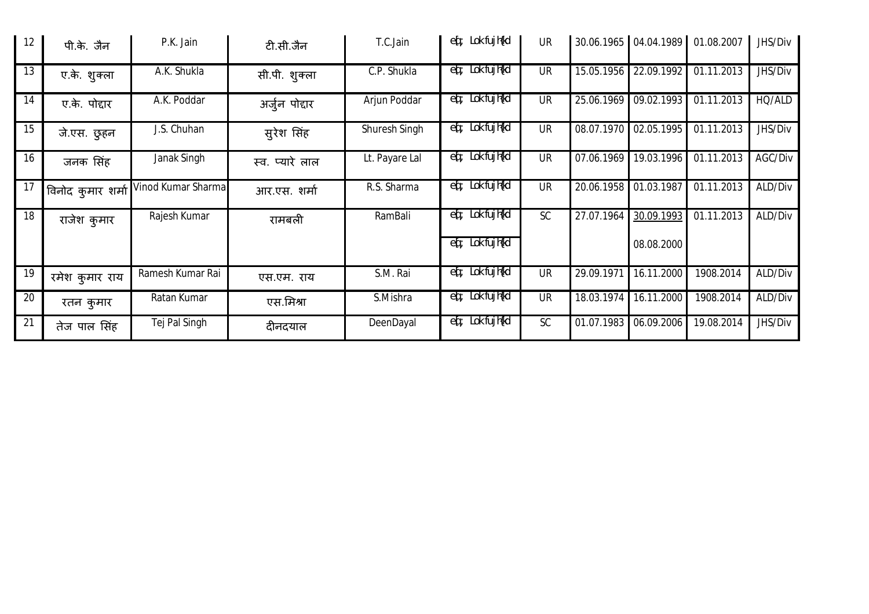| 12 | पी.के. जैन        | P.K. Jain          | टी.सी.जैन       | T.C.Jain       | eq: Lok fujh{kd                                             | <b>UR</b> |            | 30.06.1965 04.04.1989 | 01.08.2007 | JHS/Div |
|----|-------------------|--------------------|-----------------|----------------|-------------------------------------------------------------|-----------|------------|-----------------------|------------|---------|
| 13 | ए.के. शुक्ला      | A.K. Shukla        | सी.पी. शुक्ला   | C.P. Shukla    | eq; Lok fujh{kd                                             | <b>UR</b> | 15.05.1956 | 22.09.1992            | 01.11.2013 | JHS/Div |
| 14 | ए.के. पोद्दार     | A.K. Poddar        | अर्जुन पोद्दार  | Arjun Poddar   | $\overline{eq}$ ; Lok fujh{kd                               | <b>UR</b> | 25.06.1969 | 09.02.1993            | 01.11.2013 | HQ/ALD  |
| 15 | जे.एस. छुहन       | J.S. Chuhan        | सुरेश सिंह      | Shuresh Singh  | eq; Lok fujh{kd                                             | <b>UR</b> | 08.07.1970 | 02.05.1995            | 01.11.2013 | JHS/Div |
| 16 | जनक सिंह          | Janak Singh        | स्व. प्यारे लाल | Lt. Payare Lal | eq; Lok fujh{kd                                             | <b>UR</b> | 07.06.1969 | 19.03.1996            | 01.11.2013 | AGC/Div |
| 17 | विनोद कुमार शर्मा | Vinod Kumar Sharma | आर.एस. शर्मा    | R.S. Sharma    | eq; Lok fujh{kd                                             | <b>UR</b> | 20.06.1958 | 01.03.1987            | 01.11.2013 | ALD/Div |
| 18 | राजेश कुमार       | Rajesh Kumar       | रामबली          | RamBali        | eq; Lok fujh{kd                                             | <b>SC</b> | 27.07.1964 | 30.09.1993            | 01.11.2013 | ALD/Div |
|    |                   |                    |                 |                | $\operatorname{\sf eq}$ ; Lok fujh $\operatorname{\sf kld}$ |           |            | 08.08.2000            |            |         |
| 19 | रमेश कुमार राय    | Ramesh Kumar Rai   | एस.एम. राय      | S.M. Rai       | eq; Lok fujh{kd                                             | <b>UR</b> | 29.09.1971 | 16.11.2000            | 1908.2014  | ALD/Div |
| 20 | रतन कुमार         | Ratan Kumar        | एस.मिश्रा       | S.Mishra       | $\operatorname{eq}$ ; Lok fujh $\operatorname{kd}$          | <b>UR</b> | 18.03.1974 | 16.11.2000            | 1908.2014  | ALD/Div |
| 21 | तेज पाल सिंह      | Tej Pal Singh      | दीनदयाल         | DeenDayal      | $\operatorname{eq}$ ; Lok fujh $\operatorname{kd}$          | <b>SC</b> | 01.07.1983 | 06.09.2006            | 19.08.2014 | JHS/Div |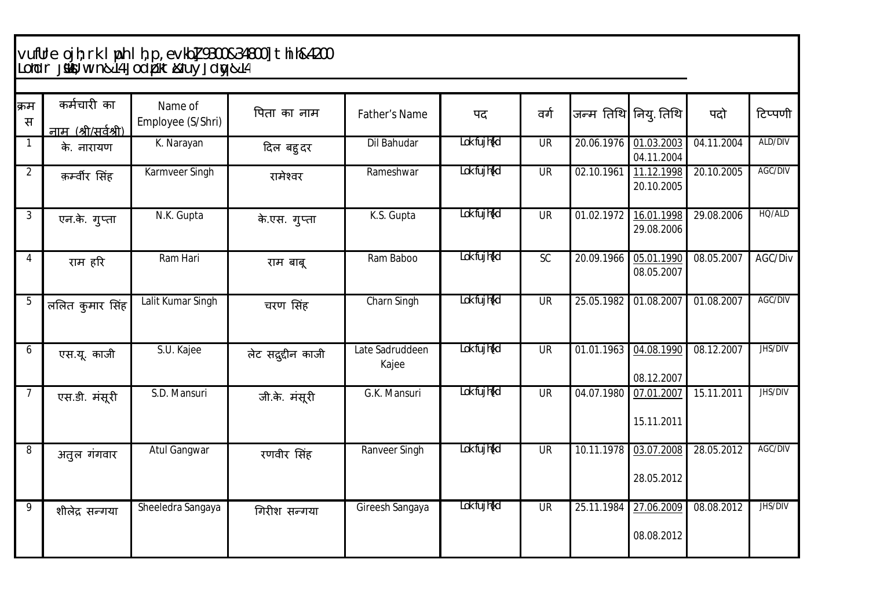## vufUre ojh; rk lwph lh, p, evkb] 9300&34800] thih&4200 Lohdr jsMü; w in&14] od pkt&fuy] d y&14

| क्रम<br>स      | कर्मचारी का<br><u>नाम (श्री/सर्वश्री)</u> | Name of<br>Employee (S/Shri) | पिता का नाम         | Father's Name            | पद          | वर्ग      |            | जन्म तिथि नियु तिथि      | पदो        | टिप्पणी |
|----------------|-------------------------------------------|------------------------------|---------------------|--------------------------|-------------|-----------|------------|--------------------------|------------|---------|
| $\mathbf 1$    | के. नारायण                                | K. Narayan                   | दिल बहुदर           | <b>Dil Bahudar</b>       | Lok fujh{kd | <b>UR</b> | 20.06.1976 | 01.03.2003<br>04.11.2004 | 04.11.2004 | ALD/DIV |
| $\overline{2}$ | क़र्म्वीर सिंह                            | Karmveer Singh               | रामेश्वर            | Rameshwar                | Lok fujh{kd | <b>UR</b> | 02.10.1961 | 11.12.1998<br>20.10.2005 | 20.10.2005 | AGC/DIV |
| 3              | एन.के. गुप्ता                             | N.K. Gupta                   | के.एस. गुप्ता       | K.S. Gupta               | Lok fujh{kd | <b>UR</b> | 01.02.1972 | 16.01.1998<br>29.08.2006 | 29.08.2006 | HQ/ALD  |
| 4              | राम हरि                                   | Ram Hari                     | राम बाबू            | Ram Baboo                | Lok fujh{kd | <b>SC</b> | 20.09.1966 | 05.01.1990<br>08.05.2007 | 08.05.2007 | AGC/Div |
| 5              | ललित कुमार सिंह                           | Lalit Kumar Singh            | चरण सिंह            | Charn Singh              | Lok fujh{kd | <b>UR</b> | 25.05.1982 | 01.08.2007               | 01.08.2007 | AGC/DIV |
| 6              | एस.यू. काजी                               | S.U. Kajee                   | लेट सद्गुद्दीन काजी | Late Sadruddeen<br>Kajee | Lok fujh{kd | <b>UR</b> | 01.01.1963 | 04.08.1990<br>08.12.2007 | 08.12.2007 | JHS/DIV |
| 7              | एस.डी. मंसूरी                             | S.D. Mansuri                 | जी.के. मंसूरी       | G.K. Mansuri             | Lok fujh{kd | <b>UR</b> | 04.07.1980 | 07.01.2007<br>15.11.2011 | 15.11.2011 | JHS/DIV |
| 8              | अतुल गंगवार                               | <b>Atul Gangwar</b>          | रणवीर सिंह          | Ranveer Singh            | Lok fujh{kd | <b>UR</b> | 10.11.1978 | 03.07.2008<br>28.05.2012 | 28.05.2012 | AGC/DIV |
| 9              | शीलेद्र सन्गया                            | Sheeledra Sangaya            | गिरीश सन्गया        | Gireesh Sangaya          | Lok fujh{kd | <b>UR</b> | 25.11.1984 | 27.06.2009<br>08.08.2012 | 08.08.2012 | JHS/DIV |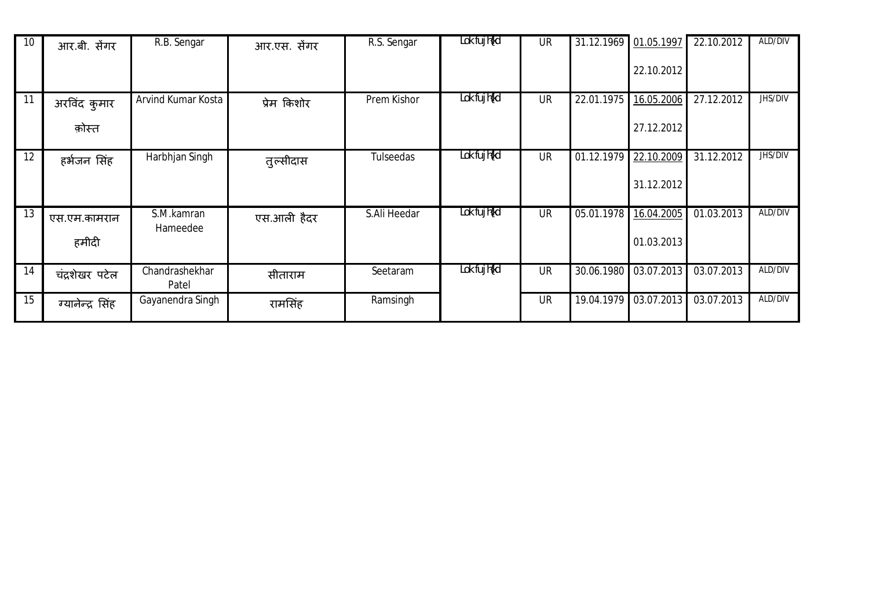| 10 | आर.बी. सेंगर           | R.B. Sengar             | आर.एस. सेंगर | R.S. Sengar  | Lok fujh{kd | <b>UR</b> | 31.12.1969 01.05.1997 | 22.10.2012               | 22.10.2012              | ALD/DIV |
|----|------------------------|-------------------------|--------------|--------------|-------------|-----------|-----------------------|--------------------------|-------------------------|---------|
| 11 | अरविंद कुमार<br>क़ोस्त | Arvind Kumar Kosta      | प्रेम किशोर  | Prem Kishor  | Lok fujh{kd | <b>UR</b> | 22.01.1975            | 16.05.2006<br>27.12.2012 | 27.12.2012              | JHS/DIV |
| 12 | हर्भजन सिंह            | Harbhjan Singh          | तुल्सीदास    | Tulseedas    | Lok fujh{kd | <b>UR</b> | 01.12.1979            | 22.10.2009<br>31.12.2012 | 31.12.2012              | JHS/DIV |
| 13 | एस.एम.कामरान<br>हमीदी  | S.M.kamran<br>Hameedee  | एस.आली हैदर  | S.Ali Heedar | Lok fujh{kd | <b>UR</b> | 05.01.1978            | 16.04.2005<br>01.03.2013 | 01.03.2013              | ALD/DIV |
| 14 | चंद्रशेखर पटेल         | Chandrashekhar<br>Patel | सीताराम      | Seetaram     | Lok fujh{kd | <b>UR</b> |                       | 30.06.1980 03.07.2013    | $\overline{03.07}.2013$ | ALD/DIV |
| 15 | ग्यानेन्द्र सिंह       | Gayanendra Singh        | रामसिंह      | Ramsingh     |             | <b>UR</b> |                       | 19.04.1979 03.07.2013    | 03.07.2013              | ALD/DIV |